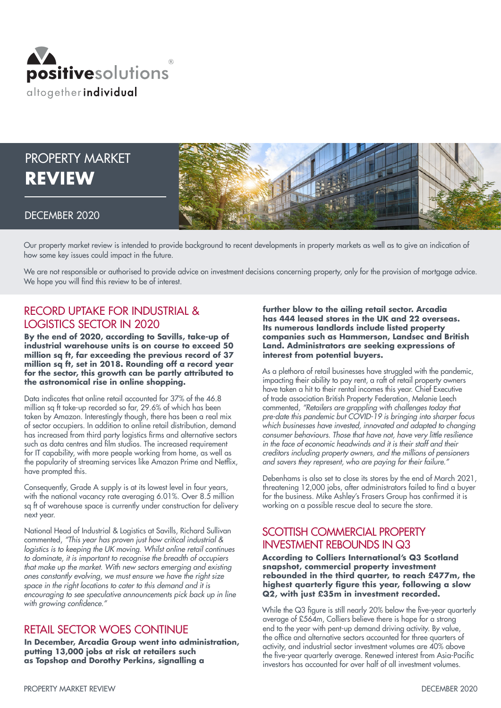

# PROPERTY MARKET **REVIEW**



#### DECEMBER 2020

Our property market review is intended to provide background to recent developments in property markets as well as to give an indication of how some key issues could impact in the future.

We are not responsible or authorised to provide advice on investment decisions concerning property, only for the provision of mortgage advice. We hope you will find this review to be of interest.

## RECORD UPTAKE FOR INDUSTRIAL & LOGISTICS SECTOR IN 2020

**By the end of 2020, according to Savills, take-up of industrial warehouse units is on course to exceed 50 million sq ft, far exceeding the previous record of 37 million sq ft, set in 2018. Rounding off a record year for the sector, this growth can be partly attributed to the astronomical rise in online shopping.**

Data indicates that online retail accounted for 37% of the 46.8 million sq ft take-up recorded so far, 29.6% of which has been taken by Amazon. Interestingly though, there has been a real mix of sector occupiers. In addition to online retail distribution, demand has increased from third party logistics firms and alternative sectors such as data centres and film studios. The increased requirement for IT capability, with more people working from home, as well as the popularity of streaming services like Amazon Prime and Netflix, have prompted this.

Consequently, Grade A supply is at its lowest level in four years, with the national vacancy rate averaging 6.01%. Over 8.5 million sq ft of warehouse space is currently under construction for delivery next year.

National Head of Industrial & Logistics at Savills, Richard Sullivan commented, *"This year has proven just how critical industrial & logistics is to keeping the UK moving. Whilst online retail continues to dominate, it is important to recognise the breadth of occupiers that make up the market. With new sectors emerging and existing ones constantly evolving, we must ensure we have the right size space in the right locations to cater to this demand and it is encouraging to see speculative announcements pick back up in line*  with growing confidence."

#### RETAIL SECTOR WOES CONTINUE

**In December, Arcadia Group went into administration, putting 13,000 jobs at risk at retailers such as Topshop and Dorothy Perkins, signalling a** 

**further blow to the ailing retail sector. Arcadia has 444 leased stores in the UK and 22 overseas. Its numerous landlords include listed property companies such as Hammerson, Landsec and British Land. Administrators are seeking expressions of interest from potential buyers.**

As a plethora of retail businesses have struggled with the pandemic, impacting their ability to pay rent, a raft of retail property owners have taken a hit to their rental incomes this year. Chief Executive of trade association British Property Federation, Melanie Leech commented, *"Retailers are grappling with challenges today that pre-date this pandemic but COVID-19 is bringing into sharper focus which businesses have invested, innovated and adapted to changing consumer behaviours. Those that have not, have very little resilience in the face of economic headwinds and it is their staff and their creditors including property owners, and the millions of pensioners*  and savers they represent, who are paying for their failure."

Debenhams is also set to close its stores by the end of March 2021, threatening 12,000 jobs, after administrators failed to find a buyer for the business. Mike Ashley's Frasers Group has confirmed it is working on a possible rescue deal to secure the store.

### SCOTTISH COMMERCIAL PROPERTY INVESTMENT REBOUNDS IN Q3

**According to Colliers International's Q3 Scotland snapshot, commercial property investment rebounded in the third quarter, to reach £477m, the highest quarterly figure this year, following a slow Q2, with just £35m in investment recorded.**

While the Q3 figure is still nearly 20% below the five-year quarterly average of £564m, Colliers believe there is hope for a strong end to the year with pent-up demand driving activity. By value, the office and alternative sectors accounted for three quarters of activity, and industrial sector investment volumes are 40% above the five-year quarterly average. Renewed interest from Asia-Pacific investors has accounted for over half of all investment volumes.